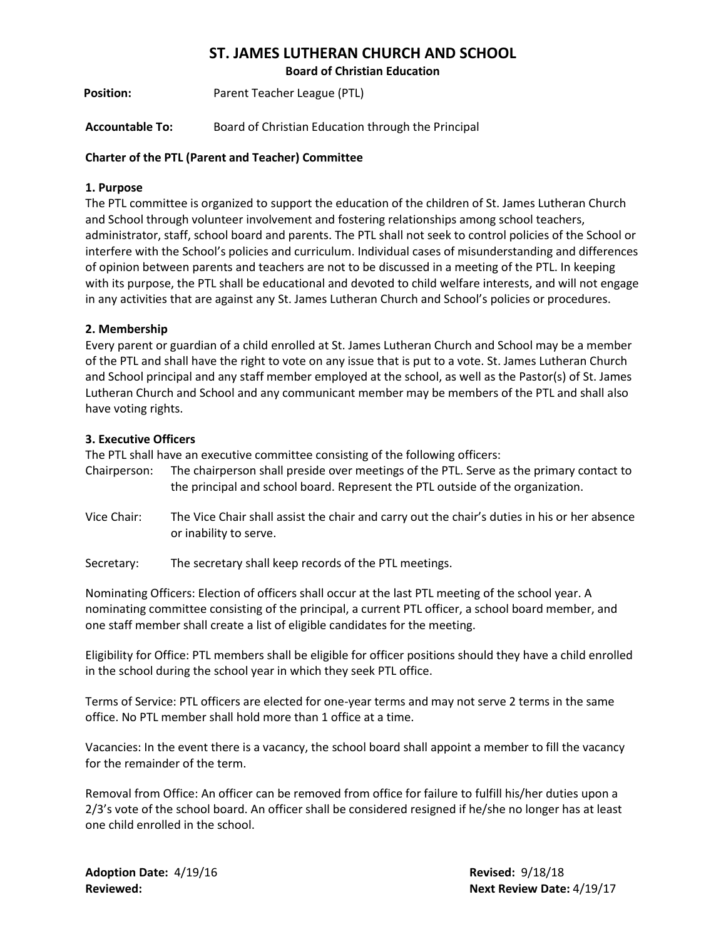# **ST. JAMES LUTHERAN CHURCH AND SCHOOL**

**Board of Christian Education**

**Position:** Parent Teacher League (PTL)

**Accountable To:** Board of Christian Education through the Principal

## **Charter of the PTL (Parent and Teacher) Committee**

#### **1. Purpose**

The PTL committee is organized to support the education of the children of St. James Lutheran Church and School through volunteer involvement and fostering relationships among school teachers, administrator, staff, school board and parents. The PTL shall not seek to control policies of the School or interfere with the School's policies and curriculum. Individual cases of misunderstanding and differences of opinion between parents and teachers are not to be discussed in a meeting of the PTL. In keeping with its purpose, the PTL shall be educational and devoted to child welfare interests, and will not engage in any activities that are against any St. James Lutheran Church and School's policies or procedures.

## **2. Membership**

Every parent or guardian of a child enrolled at St. James Lutheran Church and School may be a member of the PTL and shall have the right to vote on any issue that is put to a vote. St. James Lutheran Church and School principal and any staff member employed at the school, as well as the Pastor(s) of St. James Lutheran Church and School and any communicant member may be members of the PTL and shall also have voting rights.

#### **3. Executive Officers**

The PTL shall have an executive committee consisting of the following officers:

- Chairperson: The chairperson shall preside over meetings of the PTL. Serve as the primary contact to the principal and school board. Represent the PTL outside of the organization.
- Vice Chair: The Vice Chair shall assist the chair and carry out the chair's duties in his or her absence or inability to serve.
- Secretary: The secretary shall keep records of the PTL meetings.

Nominating Officers: Election of officers shall occur at the last PTL meeting of the school year. A nominating committee consisting of the principal, a current PTL officer, a school board member, and one staff member shall create a list of eligible candidates for the meeting.

Eligibility for Office: PTL members shall be eligible for officer positions should they have a child enrolled in the school during the school year in which they seek PTL office.

Terms of Service: PTL officers are elected for one-year terms and may not serve 2 terms in the same office. No PTL member shall hold more than 1 office at a time.

Vacancies: In the event there is a vacancy, the school board shall appoint a member to fill the vacancy for the remainder of the term.

Removal from Office: An officer can be removed from office for failure to fulfill his/her duties upon a 2/3's vote of the school board. An officer shall be considered resigned if he/she no longer has at least one child enrolled in the school.